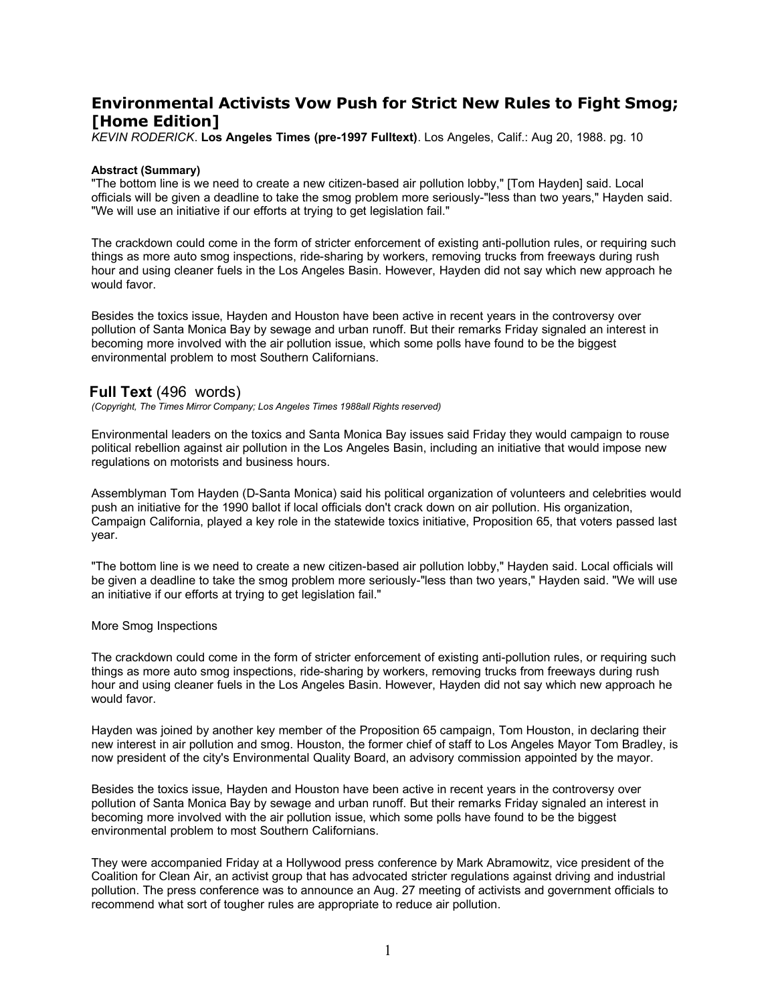# **Environmental Activists Vow Push for Strict New Rules to Fight Smog; [Home Edition]**

*KEVIN RODERICK*. **Los Angeles Times (pre-1997 Fulltext)**. Los Angeles, Calif.: Aug 20, 1988. pg. 10

#### **Abstract (Summary)**

"The bottom line is we need to create a new citizen-based air pollution lobby," [Tom Hayden] said. Local officials will be given a deadline to take the smog problem more seriously-"less than two years," Hayden said. "We will use an initiative if our efforts at trying to get legislation fail."

The crackdown could come in the form of stricter enforcement of existing anti-pollution rules, or requiring such things as more auto smog inspections, ride-sharing by workers, removing trucks from freeways during rush hour and using cleaner fuels in the Los Angeles Basin. However, Hayden did not say which new approach he would favor.

Besides the toxics issue, Hayden and Houston have been active in recent years in the controversy over pollution of Santa Monica Bay by sewage and urban runoff. But their remarks Friday signaled an interest in becoming more involved with the air pollution issue, which some polls have found to be the biggest environmental problem to most Southern Californians.

## **Full Text** (496 words)

*(Copyright, The Times Mirror Company; Los Angeles Times 1988all Rights reserved)*

Environmental leaders on the toxics and Santa Monica Bay issues said Friday they would campaign to rouse political rebellion against air pollution in the Los Angeles Basin, including an initiative that would impose new regulations on motorists and business hours.

Assemblyman Tom Hayden (D-Santa Monica) said his political organization of volunteers and celebrities would push an initiative for the 1990 ballot if local officials don't crack down on air pollution. His organization, Campaign California, played a key role in the statewide toxics initiative, Proposition 65, that voters passed last year.

"The bottom line is we need to create a new citizen-based air pollution lobby," Hayden said. Local officials will be given a deadline to take the smog problem more seriously-"less than two years," Hayden said. "We will use an initiative if our efforts at trying to get legislation fail."

#### More Smog Inspections

The crackdown could come in the form of stricter enforcement of existing anti-pollution rules, or requiring such things as more auto smog inspections, ride-sharing by workers, removing trucks from freeways during rush hour and using cleaner fuels in the Los Angeles Basin. However, Hayden did not say which new approach he would favor.

Hayden was joined by another key member of the Proposition 65 campaign, Tom Houston, in declaring their new interest in air pollution and smog. Houston, the former chief of staff to Los Angeles Mayor Tom Bradley, is now president of the city's Environmental Quality Board, an advisory commission appointed by the mayor.

Besides the toxics issue, Hayden and Houston have been active in recent years in the controversy over pollution of Santa Monica Bay by sewage and urban runoff. But their remarks Friday signaled an interest in becoming more involved with the air pollution issue, which some polls have found to be the biggest environmental problem to most Southern Californians.

They were accompanied Friday at a Hollywood press conference by Mark Abramowitz, vice president of the Coalition for Clean Air, an activist group that has advocated stricter regulations against driving and industrial pollution. The press conference was to announce an Aug. 27 meeting of activists and government officials to recommend what sort of tougher rules are appropriate to reduce air pollution.